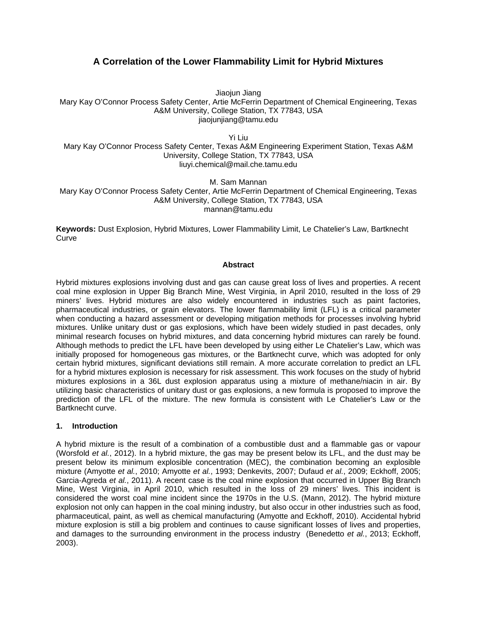# **A Correlation of the Lower Flammability Limit for Hybrid Mixtures**

Jiaojun Jiang

Mary Kay O'Connor Process Safety Center, Artie McFerrin Department of Chemical Engineering, Texas A&M University, College Station, TX 77843, USA jiaojunjiang@tamu.edu

Yi Liu

Mary Kay O'Connor Process Safety Center, Texas A&M Engineering Experiment Station, Texas A&M University, College Station, TX 77843, USA liuyi.chemical@mail.che.tamu.edu

M. Sam Mannan

Mary Kay O'Connor Process Safety Center, Artie McFerrin Department of Chemical Engineering, Texas A&M University, College Station, TX 77843, USA mannan@tamu.edu

**Keywords:** Dust Explosion, Hybrid Mixtures, Lower Flammability Limit, Le Chatelier's Law, Bartknecht **Curve** 

#### **Abstract**

Hybrid mixtures explosions involving dust and gas can cause great loss of lives and properties. A recent coal mine explosion in Upper Big Branch Mine, West Virginia, in April 2010, resulted in the loss of 29 miners' lives. Hybrid mixtures are also widely encountered in industries such as paint factories, pharmaceutical industries, or grain elevators. The lower flammability limit (LFL) is a critical parameter when conducting a hazard assessment or developing mitigation methods for processes involving hybrid mixtures. Unlike unitary dust or gas explosions, which have been widely studied in past decades, only minimal research focuses on hybrid mixtures, and data concerning hybrid mixtures can rarely be found. Although methods to predict the LFL have been developed by using either Le Chatelier's Law, which was initially proposed for homogeneous gas mixtures, or the Bartknecht curve, which was adopted for only certain hybrid mixtures, significant deviations still remain. A more accurate correlation to predict an LFL for a hybrid mixtures explosion is necessary for risk assessment. This work focuses on the study of hybrid mixtures explosions in a 36L dust explosion apparatus using a mixture of methane/niacin in air. By utilizing basic characteristics of unitary dust or gas explosions, a new formula is proposed to improve the prediction of the LFL of the mixture. The new formula is consistent with Le Chatelier's Law or the Bartknecht curve.

### **1. Introduction**

A hybrid mixture is the result of a combination of a combustible dust and a flammable gas or vapour (Worsfold *et al.*, 2012). In a hybrid mixture, the gas may be present below its LFL, and the dust may be present below its minimum explosible concentration (MEC), the combination becoming an explosible mixture (Amyotte *et al.*, 2010; Amyotte *et al.*, 1993; Denkevits, 2007; Dufaud *et al.*, 2009; Eckhoff, 2005; Garcia-Agreda *et al.*, 2011). A recent case is the coal mine explosion that occurred in Upper Big Branch Mine, West Virginia, in April 2010, which resulted in the loss of 29 miners' lives. This incident is considered the worst coal mine incident since the 1970s in the U.S. (Mann, 2012). The hybrid mixture explosion not only can happen in the coal mining industry, but also occur in other industries such as food, pharmaceutical, paint, as well as chemical manufacturing (Amyotte and Eckhoff, 2010). Accidental hybrid mixture explosion is still a big problem and continues to cause significant losses of lives and properties, and damages to the surrounding environment in the process industry (Benedetto *et al.*, 2013; Eckhoff, 2003).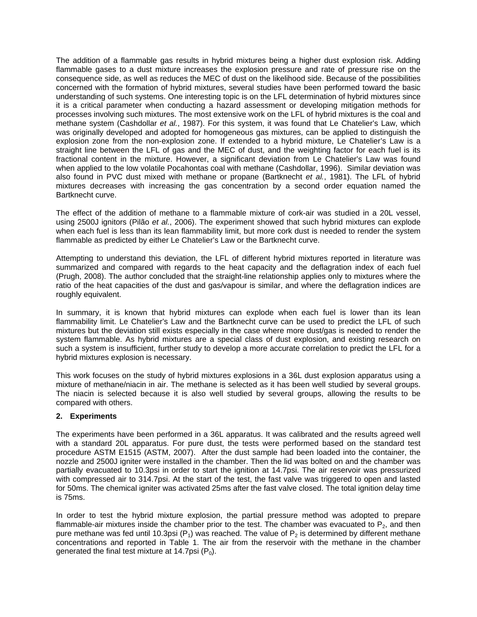The addition of a flammable gas results in hybrid mixtures being a higher dust explosion risk. Adding flammable gases to a dust mixture increases the explosion pressure and rate of pressure rise on the consequence side, as well as reduces the MEC of dust on the likelihood side. Because of the possibilities concerned with the formation of hybrid mixtures, several studies have been performed toward the basic understanding of such systems. One interesting topic is on the LFL determination of hybrid mixtures since it is a critical parameter when conducting a hazard assessment or developing mitigation methods for processes involving such mixtures. The most extensive work on the LFL of hybrid mixtures is the coal and methane system (Cashdollar *et al.*, 1987). For this system, it was found that Le Chatelier's Law, which was originally developed and adopted for homogeneous gas mixtures, can be applied to distinguish the explosion zone from the non-explosion zone. If extended to a hybrid mixture, Le Chatelier's Law is a straight line between the LFL of gas and the MEC of dust, and the weighting factor for each fuel is its fractional content in the mixture. However, a significant deviation from Le Chatelier's Law was found when applied to the low volatile Pocahontas coal with methane (Cashdollar, 1996). Similar deviation was also found in PVC dust mixed with methane or propane (Bartknecht *et al.*, 1981). The LFL of hybrid mixtures decreases with increasing the gas concentration by a second order equation named the Bartknecht curve.

The effect of the addition of methane to a flammable mixture of cork-air was studied in a 20L vessel, using 2500J ignitors (Pilão *et al.*, 2006). The experiment showed that such hybrid mixtures can explode when each fuel is less than its lean flammability limit, but more cork dust is needed to render the system flammable as predicted by either Le Chatelier's Law or the Bartknecht curve.

Attempting to understand this deviation, the LFL of different hybrid mixtures reported in literature was summarized and compared with regards to the heat capacity and the deflagration index of each fuel (Prugh, 2008). The author concluded that the straight-line relationship applies only to mixtures where the ratio of the heat capacities of the dust and gas/vapour is similar, and where the deflagration indices are roughly equivalent.

In summary, it is known that hybrid mixtures can explode when each fuel is lower than its lean flammability limit. Le Chatelier's Law and the Bartknecht curve can be used to predict the LFL of such mixtures but the deviation still exists especially in the case where more dust/gas is needed to render the system flammable. As hybrid mixtures are a special class of dust explosion, and existing research on such a system is insufficient, further study to develop a more accurate correlation to predict the LFL for a hybrid mixtures explosion is necessary.

This work focuses on the study of hybrid mixtures explosions in a 36L dust explosion apparatus using a mixture of methane/niacin in air. The methane is selected as it has been well studied by several groups. The niacin is selected because it is also well studied by several groups, allowing the results to be compared with others.

# **2. Experiments**

The experiments have been performed in a 36L apparatus. It was calibrated and the results agreed well with a standard 20L apparatus. For pure dust, the tests were performed based on the standard test procedure ASTM E1515 (ASTM, 2007). After the dust sample had been loaded into the container, the nozzle and 2500J igniter were installed in the chamber. Then the lid was bolted on and the chamber was partially evacuated to 10.3psi in order to start the ignition at 14.7psi. The air reservoir was pressurized with compressed air to 314.7psi. At the start of the test, the fast valve was triggered to open and lasted for 50ms. The chemical igniter was activated 25ms after the fast valve closed. The total ignition delay time is 75ms.

In order to test the hybrid mixture explosion, the partial pressure method was adopted to prepare flammable-air mixtures inside the chamber prior to the test. The chamber was evacuated to  $P_2$ , and then pure methane was fed until 10.3psi ( $P_1$ ) was reached. The value of  $P_2$  is determined by different methane concentrations and reported in Table 1. The air from the reservoir with the methane in the chamber generated the final test mixture at 14.7psi  $(P_0)$ .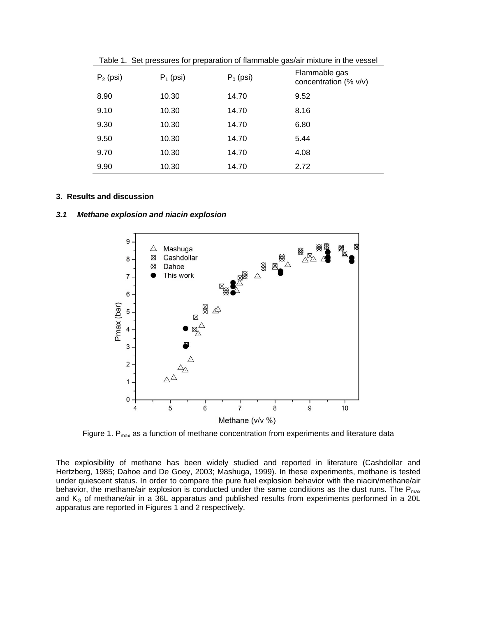| $P_2$ (psi) | $P_1$ (psi) | $P_0$ (psi) | Flammable gas<br>concentration (% v/v) |
|-------------|-------------|-------------|----------------------------------------|
| 8.90        | 10.30       | 14.70       | 9.52                                   |
| 9.10        | 10.30       | 14.70       | 8.16                                   |
| 9.30        | 10.30       | 14.70       | 6.80                                   |
| 9.50        | 10.30       | 14.70       | 5.44                                   |
| 9.70        | 10.30       | 14.70       | 4.08                                   |
| 9.90        | 10.30       | 14.70       | 2.72                                   |

Table 1. Set pressures for preparation of flammable gas/air mixture in the vessel

#### **3. Results and discussion**

#### *3.1 Methane explosion and niacin explosion*



Figure 1.  $P_{max}$  as a function of methane concentration from experiments and literature data

The explosibility of methane has been widely studied and reported in literature (Cashdollar and Hertzberg, 1985; Dahoe and De Goey, 2003; Mashuga, 1999). In these experiments, methane is tested under quiescent status. In order to compare the pure fuel explosion behavior with the niacin/methane/air behavior, the methane/air explosion is conducted under the same conditions as the dust runs. The  $P_{max}$ and  $K_G$  of methane/air in a 36L apparatus and published results from experiments performed in a 20L apparatus are reported in Figures 1 and 2 respectively.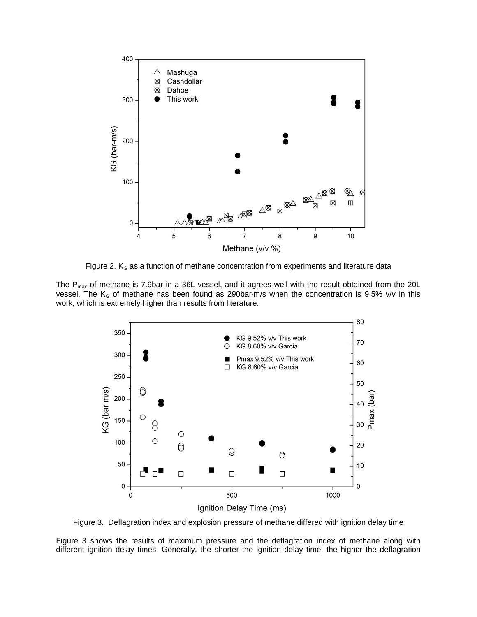

Figure 2.  $K_G$  as a function of methane concentration from experiments and literature data

The  $P_{max}$  of methane is 7.9bar in a 36L vessel, and it agrees well with the result obtained from the 20L vessel. The  $K_G$  of methane has been found as 290bar-m/s when the concentration is 9.5% v/v in this work, which is extremely higher than results from literature.



Figure 3. Deflagration index and explosion pressure of methane differed with ignition delay time

Figure 3 shows the results of maximum pressure and the deflagration index of methane along with different ignition delay times. Generally, the shorter the ignition delay time, the higher the deflagration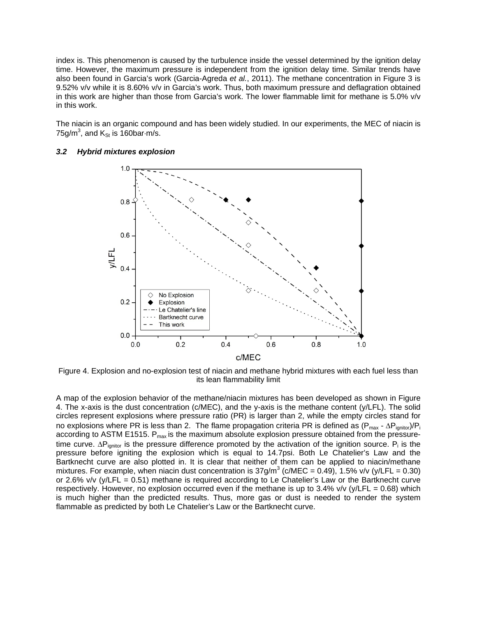index is. This phenomenon is caused by the turbulence inside the vessel determined by the ignition delay time. However, the maximum pressure is independent from the ignition delay time. Similar trends have also been found in Garcia's work (Garcia-Agreda *et al.*, 2011). The methane concentration in Figure 3 is 9.52% v/v while it is 8.60% v/v in Garcia's work. Thus, both maximum pressure and deflagration obtained in this work are higher than those from Garcia's work. The lower flammable limit for methane is 5.0% v/v in this work.

The niacin is an organic compound and has been widely studied. In our experiments, the MEC of niacin is 75g/m<sup>3</sup>, and  $K_{St}$  is 160bar $\cdot$ m/s.



### *3.2 Hybrid mixtures explosion*

Figure 4. Explosion and no-explosion test of niacin and methane hybrid mixtures with each fuel less than its lean flammability limit

A map of the explosion behavior of the methane/niacin mixtures has been developed as shown in Figure 4. The x-axis is the dust concentration (c/MEC), and the y-axis is the methane content (y/LFL). The solid circles represent explosions where pressure ratio (PR) is larger than 2, while the empty circles stand for no explosions where PR is less than 2. The flame propagation criteria PR is defined as  $(P_{max} - \Delta P_{ionitor})/P_i$ according to ASTM E1515.  $P_{max}$  is the maximum absolute explosion pressure obtained from the pressuretime curve.  $\Delta P_{\text{ignitor}}$  is the pressure difference promoted by the activation of the ignition source.  $P_i$  is the pressure before igniting the explosion which is equal to 14.7psi. Both Le Chatelier's Law and the Bartknecht curve are also plotted in. It is clear that neither of them can be applied to niacin/methane mixtures. For example, when niacin dust concentration is  $37g/m^3$  (c/MEC = 0.49), 1.5% v/v (y/LFL = 0.30) or 2.6% v/v (y/LFL = 0.51) methane is required according to Le Chatelier's Law or the Bartknecht curve respectively. However, no explosion occurred even if the methane is up to 3.4% v/v (y/LFL = 0.68) which is much higher than the predicted results. Thus, more gas or dust is needed to render the system flammable as predicted by both Le Chatelier's Law or the Bartknecht curve.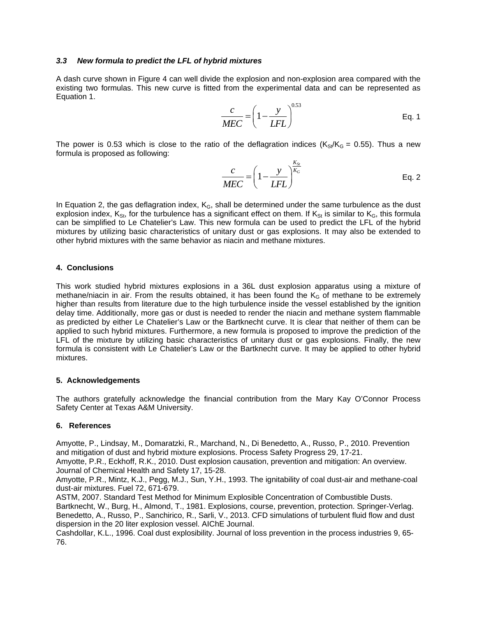### *3.3 New formula to predict the LFL of hybrid mixtures*

A dash curve shown in Figure 4 can well divide the explosion and non-explosion area compared with the existing two formulas. This new curve is fitted from the experimental data and can be represented as Equation 1.

$$
\frac{c}{MEC} = \left(1 - \frac{y}{LFL}\right)^{0.53}
$$
 Eq. 1

The power is 0.53 which is close to the ratio of the deflagration indices ( $K_{\rm S}$ /K<sub>G</sub> = 0.55). Thus a new formula is proposed as following:

$$
\frac{c}{MEC} = \left(1 - \frac{y}{LFL}\right)^{\frac{K_{St}}{K_G}}
$$
 Eq. 2

In Equation 2, the gas deflagration index,  $K<sub>G</sub>$ , shall be determined under the same turbulence as the dust explosion index,  $K_{St}$ , for the turbulence has a significant effect on them. If  $K_{St}$  is similar to  $K_G$ , this formula can be simplified to Le Chatelier's Law. This new formula can be used to predict the LFL of the hybrid mixtures by utilizing basic characteristics of unitary dust or gas explosions. It may also be extended to other hybrid mixtures with the same behavior as niacin and methane mixtures.

## **4. Conclusions**

This work studied hybrid mixtures explosions in a 36L dust explosion apparatus using a mixture of methane/niacin in air. From the results obtained, it has been found the  $K<sub>G</sub>$  of methane to be extremely higher than results from literature due to the high turbulence inside the vessel established by the ignition delay time. Additionally, more gas or dust is needed to render the niacin and methane system flammable as predicted by either Le Chatelier's Law or the Bartknecht curve. It is clear that neither of them can be applied to such hybrid mixtures. Furthermore, a new formula is proposed to improve the prediction of the LFL of the mixture by utilizing basic characteristics of unitary dust or gas explosions. Finally, the new formula is consistent with Le Chatelier's Law or the Bartknecht curve. It may be applied to other hybrid mixtures.

### **5. Acknowledgements**

The authors gratefully acknowledge the financial contribution from the Mary Kay O'Connor Process Safety Center at Texas A&M University.

# **6. References**

Amyotte, P., Lindsay, M., Domaratzki, R., Marchand, N., Di Benedetto, A., Russo, P., 2010. Prevention and mitigation of dust and hybrid mixture explosions. Process Safety Progress 29, 17-21.

Amyotte, P.R., Eckhoff, R.K., 2010. Dust explosion causation, prevention and mitigation: An overview. Journal of Chemical Health and Safety 17, 15-28.

Amyotte, P.R., Mintz, K.J., Pegg, M.J., Sun, Y.H., 1993. The ignitability of coal dust-air and methane-coal dust-air mixtures. Fuel 72, 671-679.

ASTM, 2007. Standard Test Method for Minimum Explosible Concentration of Combustible Dusts. Bartknecht, W., Burg, H., Almond, T., 1981. Explosions, course, prevention, protection. Springer-Verlag. Benedetto, A., Russo, P., Sanchirico, R., Sarli, V., 2013. CFD simulations of turbulent fluid flow and dust dispersion in the 20 liter explosion vessel. AIChE Journal.

Cashdollar, K.L., 1996. Coal dust explosibility. Journal of loss prevention in the process industries 9, 65- 76.